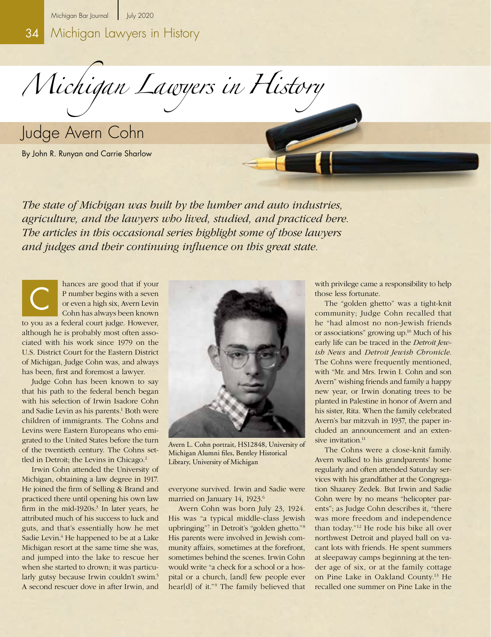34 Michigan Lawyers in History

*Michigan Lawyers in History* 

Judge Avern Cohn

By John R. Runyan and Carrie Sharlow

*The state of Michigan was built by the lumber and auto industries, agriculture, and the lawyers who lived, studied, and practiced here. The articles in this occasional series highlight some of those lawyers and judges and their continuing influence on this great state.*

hances are good that if your P number begins with a seven or even a high six, Avern Levin Cohn has always been known to you as a federal court judge. However, although he is probably most often associated with his work since 1979 on the U.S. District Court for the Eastern District of Michigan, Judge Cohn was, and always has been, first and foremost a lawyer. C

Judge Cohn has been known to say that his path to the federal bench began with his selection of Irwin Isadore Cohn and Sadie Levin as his parents.<sup>1</sup> Both were children of immigrants. The Cohns and Levins were Eastern Europeans who emigrated to the United States before the turn of the twentieth century. The Cohns settled in Detroit; the Levins in Chicago.<sup>2</sup>

Irwin Cohn attended the University of Michigan, obtaining a law degree in 1917. He joined the firm of Selling & Brand and practiced there until opening his own law firm in the mid-1920s.<sup>3</sup> In later years, he attributed much of his success to luck and guts, and that's essentially how he met Sadie Levin.<sup>4</sup> He happened to be at a Lake Michigan resort at the same time she was, and jumped into the lake to rescue her when she started to drown; it was particularly gutsy because Irwin couldn't swim.<sup>5</sup> A second rescuer dove in after Irwin, and



Avern L. Cohn portrait, HS12848, University of Michigan Alumni files, Bentley Historical Library, University of Michigan

everyone survived. Irwin and Sadie were married on January 14, 1923.<sup>6</sup>

Avern Cohn was born July 23, 1924. His was "a typical middle-class Jewish upbringing"7 in Detroit's "golden ghetto."8 His parents were involved in Jewish community affairs, sometimes at the forefront, sometimes behind the scenes. Irwin Cohn would write "a check for a school or a hospital or a church, [and] few people ever hear[d] of it."<sup>9</sup> The family believed that

with privilege came a responsibility to help those less fortunate.

The "golden ghetto" was a tight-knit community; Judge Cohn recalled that he "had almost no non-Jewish friends or associations" growing up.10 Much of his early life can be traced in the *Detroit Jewish News* and *Detroit Jewish Chronicle*. The Cohns were frequently mentioned, with "Mr. and Mrs. Irwin I. Cohn and son Avern" wishing friends and family a happy new year, or Irwin donating trees to be planted in Palestine in honor of Avern and his sister, Rita. When the family celebrated Avern's bar mitzvah in 1937, the paper included an announcement and an extensive invitation.<sup>11</sup>

The Cohns were a close-knit family. Avern walked to his grandparents' home regularly and often attended Saturday services with his grandfather at the Congregation Shaarey Zedek. But Irwin and Sadie Cohn were by no means "helicopter parents"; as Judge Cohn describes it, "there was more freedom and independence than today."12 He rode his bike all over northwest Detroit and played ball on vacant lots with friends. He spent summers at sleepaway camps beginning at the tender age of six, or at the family cottage on Pine Lake in Oakland County.13 He recalled one summer on Pine Lake in the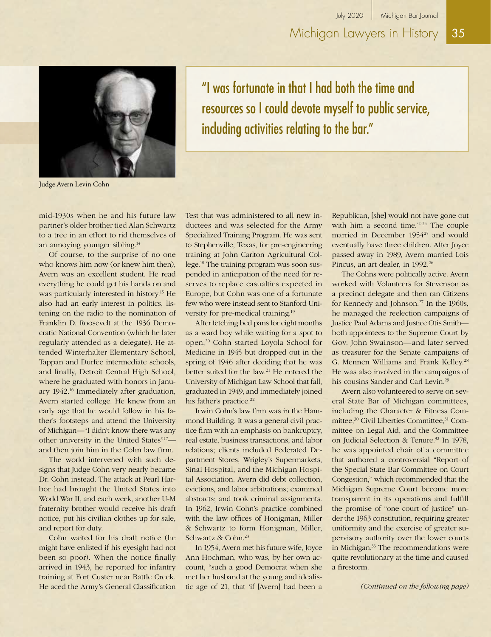

Judge Avern Levin Cohn

"I was fortunate in that I had both the time and resources so I could devote myself to public service, including activities relating to the bar."

mid-1930s when he and his future law partner's older brother tied Alan Schwartz to a tree in an effort to rid themselves of an annoying younger sibling.14

Of course, to the surprise of no one who knows him now (or knew him then), Avern was an excellent student. He read everything he could get his hands on and was particularly interested in history.<sup>15</sup> He also had an early interest in politics, listening on the radio to the nomination of Franklin D. Roosevelt at the 1936 Democratic National Convention (which he later regularly attended as a delegate). He attended Winterhalter Elementary School, Tappan and Durfee intermediate schools, and finally, Detroit Central High School, where he graduated with honors in January 1942.<sup>16</sup> Immediately after graduation, Avern started college. He knew from an early age that he would follow in his father's footsteps and attend the University of Michigan—"I didn't know there was any other university in the United States"17 and then join him in the Cohn law firm.

The world intervened with such designs that Judge Cohn very nearly became Dr. Cohn instead. The attack at Pearl Harbor had brought the United States into World War II, and each week, another U-M fraternity brother would receive his draft notice, put his civilian clothes up for sale, and report for duty.

Cohn waited for his draft notice (he might have enlisted if his eyesight had not been so poor). When the notice finally arrived in 1943, he reported for infantry training at Fort Custer near Battle Creek. He aced the Army's General Classification Test that was administered to all new inductees and was selected for the Army Specialized Training Program. He was sent to Stephenville, Texas, for pre-engineering training at John Carlton Agricultural College.18 The training program was soon suspended in anticipation of the need for reserves to replace casualties expected in Europe, but Cohn was one of a fortunate few who were instead sent to Stanford University for pre-medical training.19

After fetching bed pans for eight months as a ward boy while waiting for a spot to open,20 Cohn started Loyola School for Medicine in 1945 but dropped out in the spring of 1946 after deciding that he was better suited for the law.21 He entered the University of Michigan Law School that fall, graduated in 1949, and immediately joined his father's practice.<sup>22</sup>

Irwin Cohn's law firm was in the Hammond Building. It was a general civil practice firm with an emphasis on bankruptcy, real estate, business transactions, and labor relations; clients included Federated Department Stores, Wrigley's Supermarkets, Sinai Hospital, and the Michigan Hospital Association. Avern did debt collection, evictions, and labor arbitrations; examined abstracts; and took criminal assignments. In 1962, Irwin Cohn's practice combined with the law offices of Honigman, Miller & Schwartz to form Honigman, Miller, Schwartz & Cohn.23

In 1954, Avern met his future wife, Joyce Ann Hochman, who was, by her own account, "such a good Democrat when she met her husband at the young and idealistic age of 21, that 'if [Avern] had been a

Republican, [she] would not have gone out with him a second time.'"<sup>24</sup> The couple married in December 1954<sup>25</sup> and would eventually have three children. After Joyce passed away in 1989, Avern married Lois Pincus, an art dealer, in 1992.<sup>26</sup>

The Cohns were politically active. Avern worked with Volunteers for Stevenson as a precinct delegate and then ran Citizens for Kennedy and Johnson.<sup>27</sup> In the 1960s, he managed the reelection campaigns of Justice Paul Adams and Justice Otis Smith both appointees to the Supreme Court by Gov. John Swainson—and later served as treasurer for the Senate campaigns of G. Mennen Williams and Frank Kelley.28 He was also involved in the campaigns of his cousins Sander and Carl Levin.29

Avern also volunteered to serve on several State Bar of Michigan committees, including the Character & Fitness Committee,<sup>30</sup> Civil Liberties Committee,<sup>31</sup> Committee on Legal Aid, and the Committee on Judicial Selection & Tenure.<sup>32</sup> In 1978, he was appointed chair of a committee that authored a controversial "Report of the Special State Bar Committee on Court Congestion," which recommended that the Michigan Supreme Court become more transparent in its operations and fulfill the promise of "one court of justice" under the 1963 constitution, requiring greater uniformity and the exercise of greater supervisory authority over the lower courts in Michigan.<sup>33</sup> The recommendations were quite revolutionary at the time and caused a firestorm.

*(Continued on the following page)*